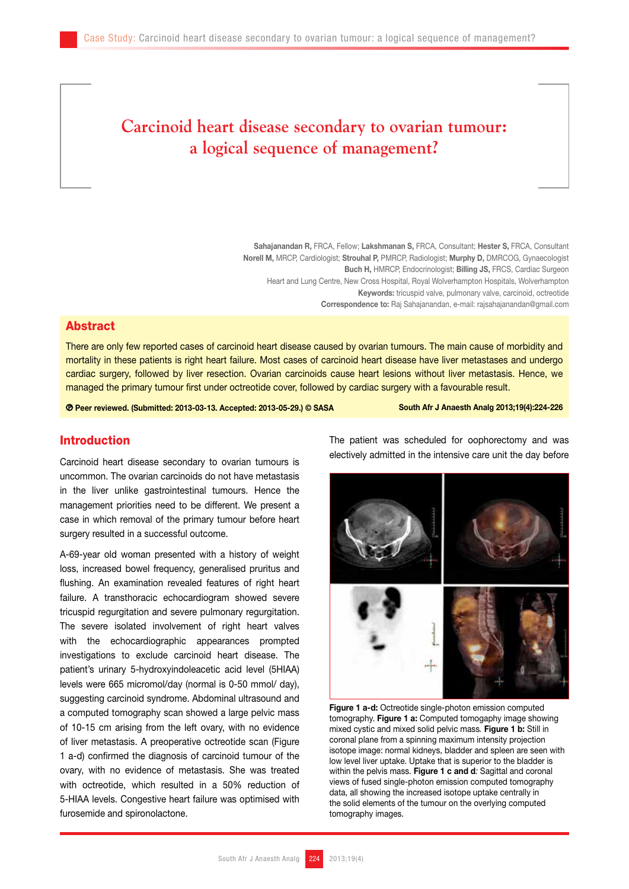# **Carcinoid heart disease secondary to ovarian tumour: a logical sequence of management?**

Sahajanandan R, FRCA, Fellow; Lakshmanan S, FRCA, Consultant; Hester S, FRCA, Consultant Norell M, MRCP, Cardiologist; Strouhal P, PMRCP, Radiologist; Murphy D, DMRCOG, Gynaecologist Buch H, HMRCP, Endocrinologist; Billing JS, FRCS, Cardiac Surgeon Heart and Lung Centre, New Cross Hospital, Royal Wolverhampton Hospitals, Wolverhampton Keywords: tricuspid valve, pulmonary valve, carcinoid, octreotide Correspondence to: Raj Sahajanandan, e-mail: rajsahajanandan@gmail.com

## Abstract

There are only few reported cases of carcinoid heart disease caused by ovarian tumours. The main cause of morbidity and mortality in these patients is right heart failure. Most cases of carcinoid heart disease have liver metastases and undergo cardiac surgery, followed by liver resection. Ovarian carcinoids cause heart lesions without liver metastasis. Hence, we managed the primary tumour first under octreotide cover, followed by cardiac surgery with a favourable result.

**<sup>©</sup>** Peer reviewed. (Submitted: 2013-03-13. Accepted: 2013-05-29.) © SASA South Afr J Anaesth Analg 2013;19(4):224-226

# Introduction

Carcinoid heart disease secondary to ovarian tumours is uncommon. The ovarian carcinoids do not have metastasis in the liver unlike gastrointestinal tumours. Hence the management priorities need to be different. We present a case in which removal of the primary tumour before heart surgery resulted in a successful outcome.

A-69-year old woman presented with a history of weight loss, increased bowel frequency, generalised pruritus and flushing. An examination revealed features of right heart failure. A transthoracic echocardiogram showed severe tricuspid regurgitation and severe pulmonary regurgitation. The severe isolated involvement of right heart valves with the echocardiographic appearances prompted investigations to exclude carcinoid heart disease. The patient's urinary 5-hydroxyindoleacetic acid level (5HIAA) levels were 665 micromol/day (normal is 0-50 mmol/ day), suggesting carcinoid syndrome. Abdominal ultrasound and a computed tomography scan showed a large pelvic mass of 10-15 cm arising from the left ovary, with no evidence of liver metastasis. A preoperative octreotide scan (Figure 1 a-d) confirmed the diagnosis of carcinoid tumour of the ovary, with no evidence of metastasis. She was treated with octreotide, which resulted in a 50% reduction of 5-HIAA levels. Congestive heart failure was optimised with furosemide and spironolactone.

The patient was scheduled for oophorectomy and was electively admitted in the intensive care unit the day before



Figure 1 a-d: Octreotide single-photon emission computed tomography. Figure 1 a: Computed tomogaphy image showing mixed cystic and mixed solid pelvic mass*.* Figure 1 b: Still in coronal plane from a spinning maximum intensity projection isotope image: normal kidneys, bladder and spleen are seen with low level liver uptake. Uptake that is superior to the bladder is within the pelvis mass. Figure 1 c and d*:* Sagittal and coronal views of fused single-photon emission computed tomography data, all showing the increased isotope uptake centrally in the solid elements of the tumour on the overlying computed tomography images.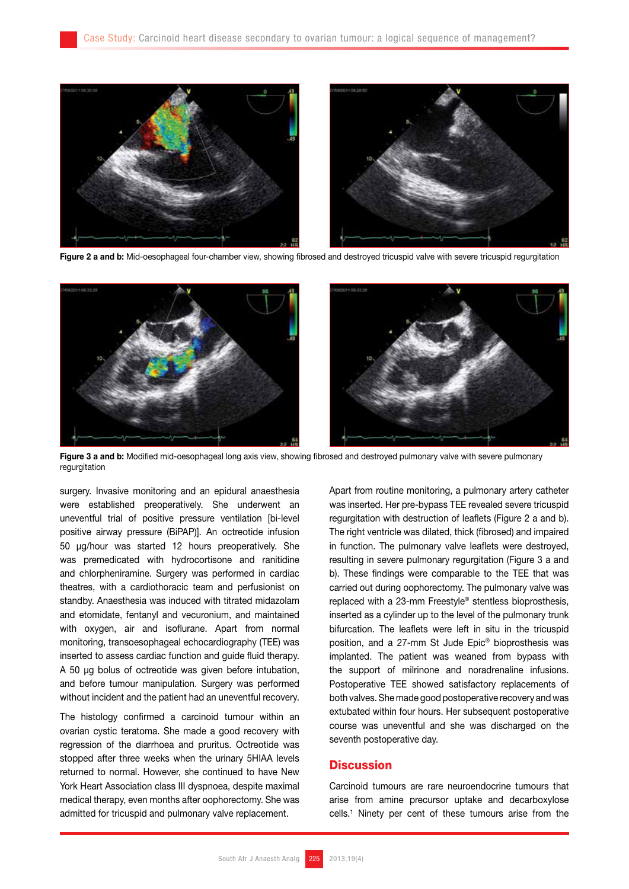

Figure 2 a and b: Mid-oesophageal four-chamber view, showing fibrosed and destroyed tricuspid valve with severe tricuspid regurgitation



Figure 3 a and b: Modified mid-oesophageal long axis view, showing fibrosed and destroyed pulmonary valve with severe pulmonary regurgitation

surgery. Invasive monitoring and an epidural anaesthesia were established preoperatively. She underwent an uneventful trial of positive pressure ventilation [bi-level positive airway pressure (BiPAP)]. An octreotide infusion 50 µg/hour was started 12 hours preoperatively. She was premedicated with hydrocortisone and ranitidine and chlorpheniramine. Surgery was performed in cardiac theatres, with a cardiothoracic team and perfusionist on standby. Anaesthesia was induced with titrated midazolam and etomidate, fentanyl and vecuronium, and maintained with oxygen, air and isoflurane. Apart from normal monitoring, transoesophageal echocardiography (TEE) was inserted to assess cardiac function and guide fluid therapy. A 50 µg bolus of octreotide was given before intubation, and before tumour manipulation. Surgery was performed without incident and the patient had an uneventful recovery.

The histology confirmed a carcinoid tumour within an ovarian cystic teratoma. She made a good recovery with regression of the diarrhoea and pruritus. Octreotide was stopped after three weeks when the urinary 5HIAA levels returned to normal. However, she continued to have New York Heart Association class III dyspnoea, despite maximal medical therapy, even months after oophorectomy. She was admitted for tricuspid and pulmonary valve replacement.

Apart from routine monitoring, a pulmonary artery catheter was inserted. Her pre-bypass TEE revealed severe tricuspid regurgitation with destruction of leaflets (Figure 2 a and b). The right ventricle was dilated, thick (fibrosed) and impaired in function. The pulmonary valve leaflets were destroyed, resulting in severe pulmonary regurgitation (Figure 3 a and b). These findings were comparable to the TEE that was carried out during oophorectomy. The pulmonary valve was replaced with a 23-mm Freestyle® stentless bioprosthesis, inserted as a cylinder up to the level of the pulmonary trunk bifurcation. The leaflets were left in situ in the tricuspid position, and a 27-mm St Jude Epic® bioprosthesis was implanted. The patient was weaned from bypass with the support of milrinone and noradrenaline infusions. Postoperative TEE showed satisfactory replacements of both valves. She made good postoperative recovery and was extubated within four hours. Her subsequent postoperative course was uneventful and she was discharged on the seventh postoperative day.

## **Discussion**

Carcinoid tumours are rare neuroendocrine tumours that arise from amine precursor uptake and decarboxylose cells.1 Ninety per cent of these tumours arise from the